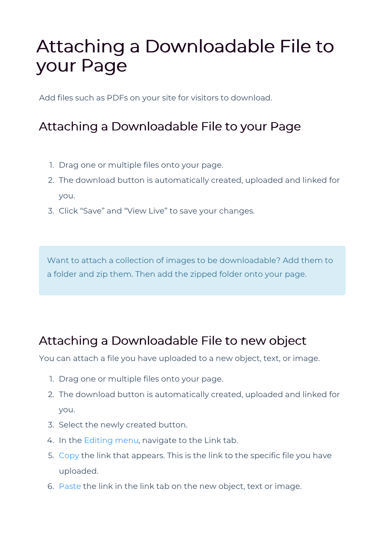## Attaching a Downloadable File to your Page

Add files such as PDFs on your site for visitors to download.

## Attaching a Downloadable File to your Page

- 1. Drag one or multiple files onto your page.
- 2. The download button is automatically created, uploaded and linked for you.
- 3. Click "Save" and "View Live" to save your changes.

Want to attach a collection of images to be downloadable? Add them to a folder and zip them. Then add the zipped folder onto your page.

## Attaching a Downloadable File to new object

You can attach a file you have uploaded to a new object, text, or image.

- 1. Drag one or multiple files onto your page.
- 2. The download button is automatically created, uploaded and linked for you.
- 3. Select the newly created button.
- 4. In the Editing menu, navigate to the Link tab.
- 5. Copy the link that appears. This is the link to the specific file you have uploaded.
- 6. Paste the link in the link tab on the new object, text or image.